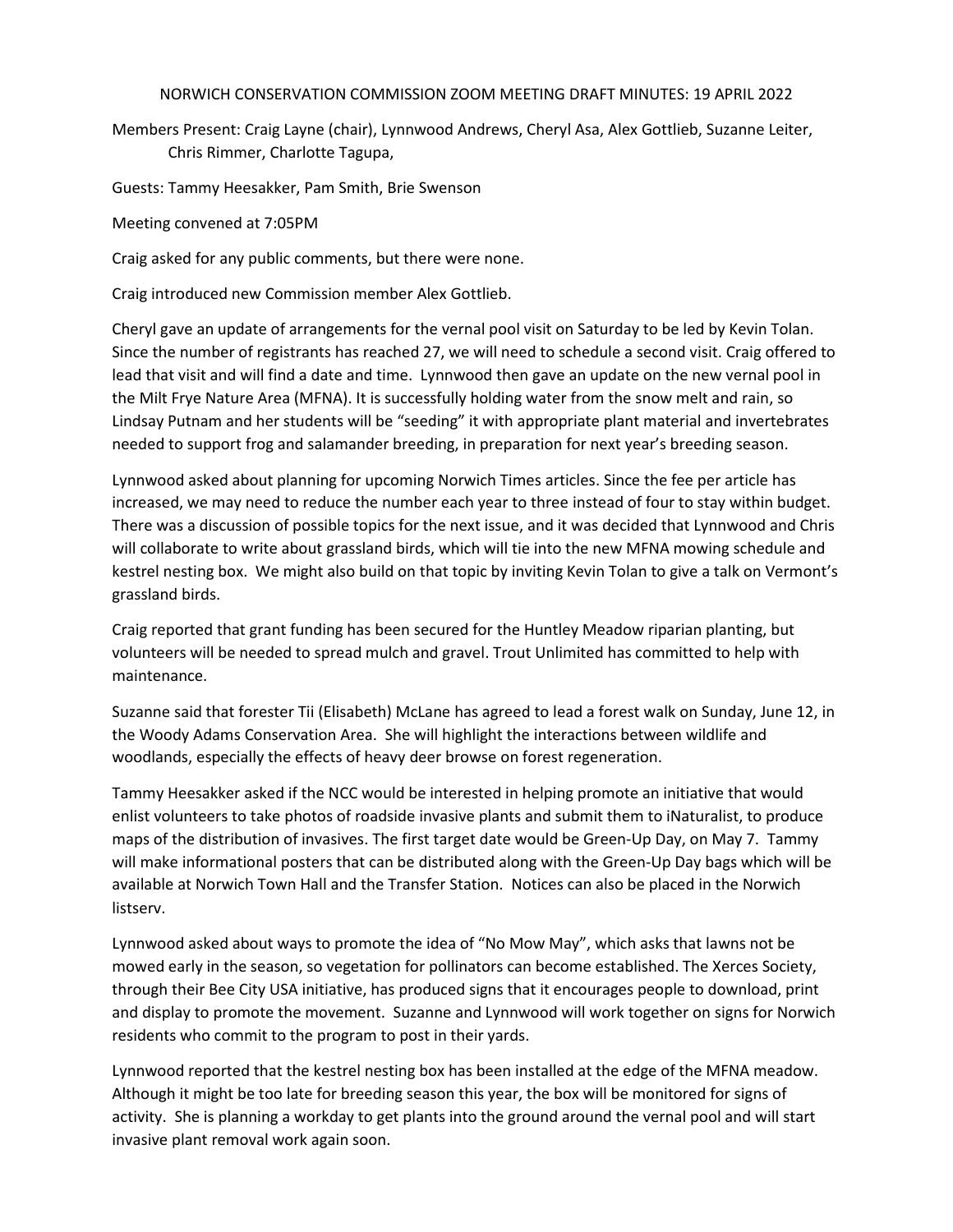## NORWICH CONSERVATION COMMISSION ZOOM MEETING DRAFT MINUTES: 19 APRIL 2022

Members Present: Craig Layne (chair), Lynnwood Andrews, Cheryl Asa, Alex Gottlieb, Suzanne Leiter, Chris Rimmer, Charlotte Tagupa,

Guests: Tammy Heesakker, Pam Smith, Brie Swenson

Meeting convened at 7:05PM

Craig asked for any public comments, but there were none.

Craig introduced new Commission member Alex Gottlieb.

Cheryl gave an update of arrangements for the vernal pool visit on Saturday to be led by Kevin Tolan. Since the number of registrants has reached 27, we will need to schedule a second visit. Craig offered to lead that visit and will find a date and time. Lynnwood then gave an update on the new vernal pool in the Milt Frye Nature Area (MFNA). It is successfully holding water from the snow melt and rain, so Lindsay Putnam and her students will be "seeding" it with appropriate plant material and invertebrates needed to support frog and salamander breeding, in preparation for next year's breeding season.

Lynnwood asked about planning for upcoming Norwich Times articles. Since the fee per article has increased, we may need to reduce the number each year to three instead of four to stay within budget. There was a discussion of possible topics for the next issue, and it was decided that Lynnwood and Chris will collaborate to write about grassland birds, which will tie into the new MFNA mowing schedule and kestrel nesting box. We might also build on that topic by inviting Kevin Tolan to give a talk on Vermont's grassland birds.

Craig reported that grant funding has been secured for the Huntley Meadow riparian planting, but volunteers will be needed to spread mulch and gravel. Trout Unlimited has committed to help with maintenance.

Suzanne said that forester Tii (Elisabeth) McLane has agreed to lead a forest walk on Sunday, June 12, in the Woody Adams Conservation Area. She will highlight the interactions between wildlife and woodlands, especially the effects of heavy deer browse on forest regeneration.

Tammy Heesakker asked if the NCC would be interested in helping promote an initiative that would enlist volunteers to take photos of roadside invasive plants and submit them to iNaturalist, to produce maps of the distribution of invasives. The first target date would be Green-Up Day, on May 7. Tammy will make informational posters that can be distributed along with the Green-Up Day bags which will be available at Norwich Town Hall and the Transfer Station. Notices can also be placed in the Norwich listserv.

Lynnwood asked about ways to promote the idea of "No Mow May", which asks that lawns not be mowed early in the season, so vegetation for pollinators can become established. The Xerces Society, through their Bee City USA initiative, has produced signs that it encourages people to download, print and display to promote the movement. Suzanne and Lynnwood will work together on signs for Norwich residents who commit to the program to post in their yards.

Lynnwood reported that the kestrel nesting box has been installed at the edge of the MFNA meadow. Although it might be too late for breeding season this year, the box will be monitored for signs of activity. She is planning a workday to get plants into the ground around the vernal pool and will start invasive plant removal work again soon.